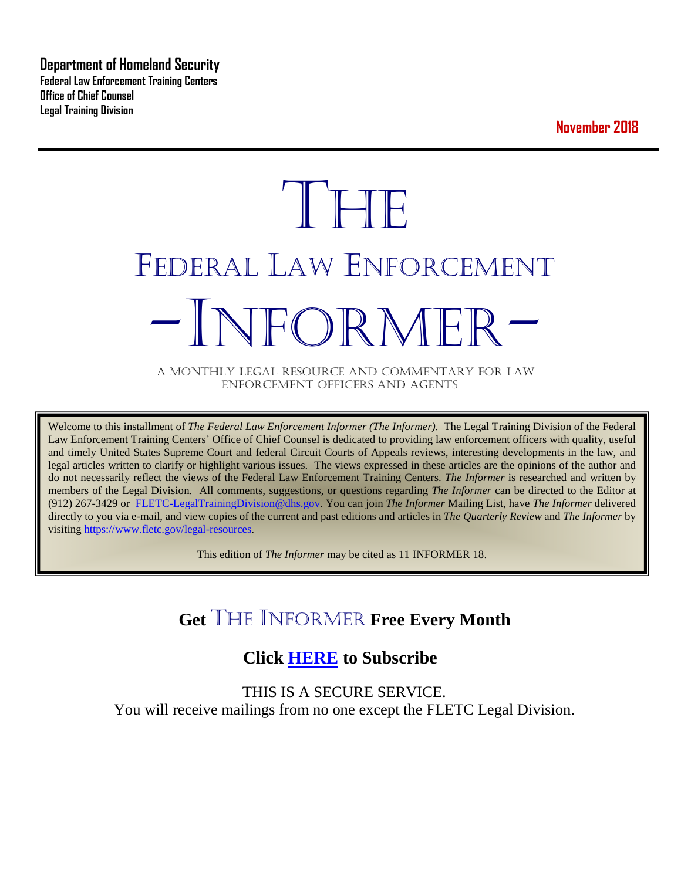**Department of Homeland Security Federal Law Enforcement Training Centers Office of Chief Counsel Legal Training Division** 

**November 2018**

# **THE** FEDERAL LAW ENFORCEMENT -INFORMER- A MONTHLY LEGAL RESOURCE AND COMMENTARY FOR LAW

ENFORCEMENT OFFICERS AND AGENTS

Welcome to this installment of *The Federal Law Enforcement Informer (The Informer).* The Legal Training Division of the Federal Law Enforcement Training Centers' Office of Chief Counsel is dedicated to providing law enforcement officers with quality, useful and timely United States Supreme Court and federal Circuit Courts of Appeals reviews, interesting developments in the law, and legal articles written to clarify or highlight various issues. The views expressed in these articles are the opinions of the author and do not necessarily reflect the views of the Federal Law Enforcement Training Centers. *The Informer* is researched and written by members of the Legal Division. All comments, suggestions, or questions regarding *The Informer* can be directed to the Editor at (912) 267-3429 or [FLETC-LegalTrainingDivision@dhs.gov.](mailto:FLETC-LegalTrainingDivision@dhs.gov) You can join *The Informer* Mailing List, have *The Informer* delivered directly to you via e-mail, and view copies of the current and past editions and articles in *The Quarterly Review* and *The Informer* by visiting [https://www.fletc.gov/legal-resources.](https://www.fletc.gov/legal-resources) 

This edition of *The Informer* may be cited as 11 INFORMER 18.

# **Get** THE INFORMER **Free Every Month**

# **Click [HERE](https://app.co-sender.com/opt-in/list/7b007eab-378b-4542-807f-44d6de94cb7e) to Subscribe**

THIS IS A SECURE SERVICE. You will receive mailings from no one except the FLETC Legal Division.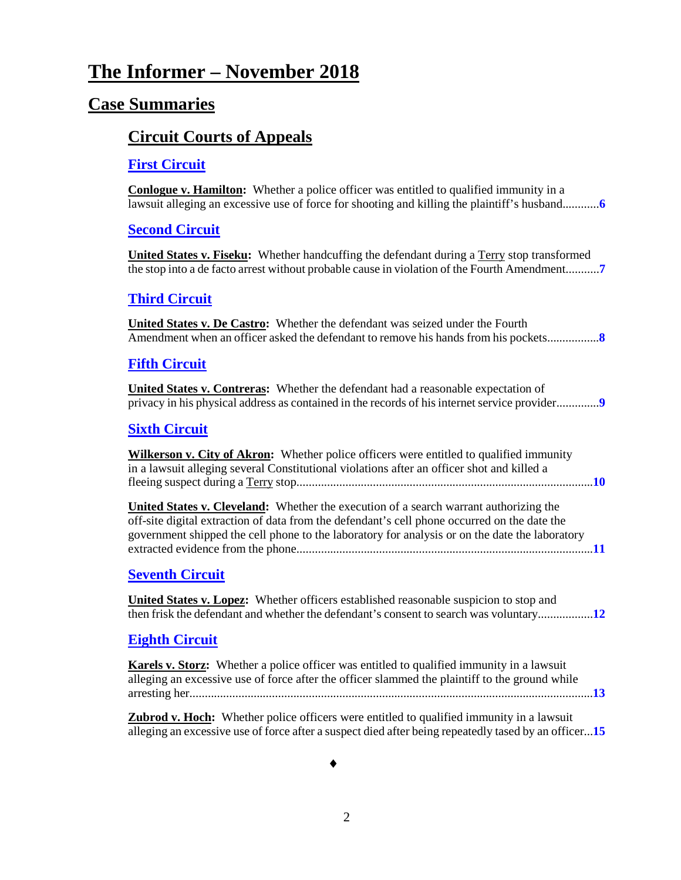# **The Informer – November 2018**

## **Case Summaries**

### **[Circuit Courts of Appeals](#page-5-0)**

#### **[First Circuit](#page-5-1)**

**Conlogue v. Hamilton:** Whether a police officer was entitled to qualified immunity in a lawsuit alleging an excessive use of force for shooting and killing the plaintiff's husband............**[6](#page-5-2)**

#### **[Second Circuit](#page-6-0)**

United States v. Fiseku: Whether handcuffing the defendant during a Terry stop transformed the stop into a de facto arrest without probable cause in violation of the Fourth Amendment...........**[7](#page-6-1)**

#### **[Third Circuit](#page-7-0)**

**United States v. De Castro:** Whether the defendant was seized under the Fourth Amendment when an officer asked the defendant to remove his hands from his pockets.................**[8](#page-7-1)**

#### **[Fifth Circuit](#page-8-0)**

**United States v. Contreras:** Whether the defendant had a reasonable expectation of privacy in his physical address as contained in the records of his internet service provider..............**[9](#page-8-1)**

#### **[Sixth Circuit](#page-9-0)**

**Wilkerson v. City of Akron:** Whether police officers were entitled to qualified immunity in a lawsuit alleging several Constitutional violations after an officer shot and killed a fleeing suspect during a Terry stop.................................................................................................**[10](#page-9-1)**

**United States v. Cleveland:** Whether the execution of a search warrant authorizing the off-site digital extraction of data from the defendant's cell phone occurred on the date the government shipped the cell phone to the laboratory for analysis or on the date the laboratory extracted evidence from the phone.................................................................................................**[11](#page-10-0)**

#### **[Seventh](#page-11-0) Circuit**

**United States v. Lopez:** Whether officers established reasonable suspicion to stop and then frisk the defendant and whether the defendant's consent to search was voluntary..................**[12](#page-11-1)**

#### **[Eighth Circuit](#page-12-0)**

**Karels v. Storz:** Whether a police officer was entitled to qualified immunity in a lawsuit alleging an excessive use of force after the officer slammed the plaintiff to the ground while arresting her....................................................................................................................................**[13](#page-12-1)**

**Zubrod v. Hoch:** Whether police officers were entitled to qualified immunity in a lawsuit alleging an excessive use of force after a suspect died after being repeatedly tased by an officer...**[15](#page-14-0)**

♦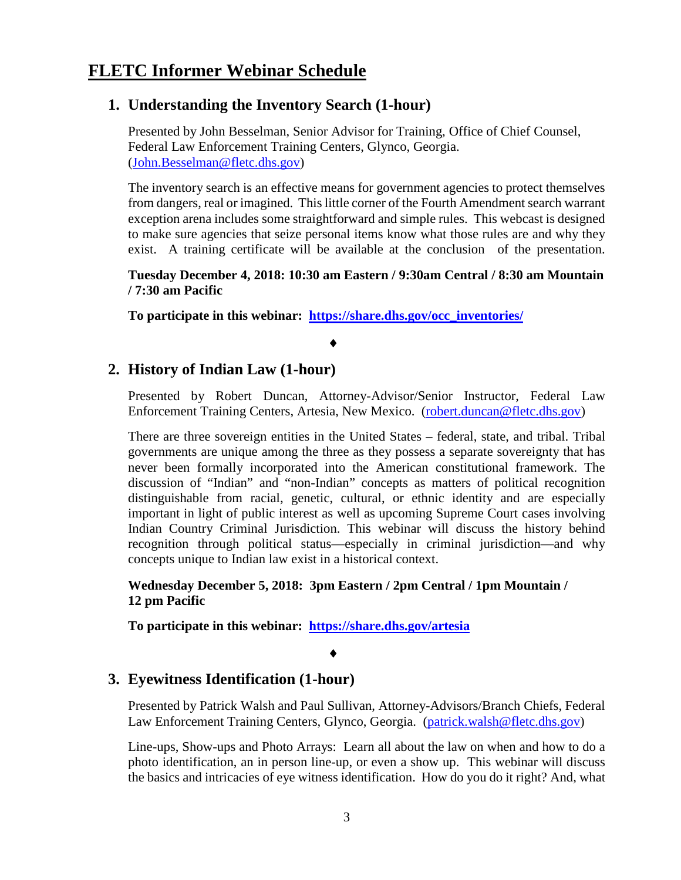#### **1. Understanding the Inventory Search (1-hour)**

Presented by John Besselman, Senior Advisor for Training, Office of Chief Counsel, Federal Law Enforcement Training Centers, Glynco, Georgia. [\(John.Besselman@fletc.dhs.gov\)](mailto:John.Besselman@fletc.dhs.gov)

The inventory search is an effective means for government agencies to protect themselves from dangers, real or imagined. This little corner of the Fourth Amendment search warrant exception arena includes some straightforward and simple rules. This webcast is designed to make sure agencies that seize personal items know what those rules are and why they exist. A training certificate will be available at the conclusion of the presentation.

**Tuesday December 4, 2018: 10:30 am Eastern / 9:30am Central / 8:30 am Mountain / 7:30 am Pacific** 

**To participate in this webinar: [https://share.dhs.gov/occ\\_inventories/](https://share.dhs.gov/occ_inventories/)**

#### ♦

#### **2. History of Indian Law (1-hour)**

Presented by Robert Duncan, Attorney-Advisor/Senior Instructor, Federal Law Enforcement Training Centers, Artesia, New Mexico. [\(robert.duncan@fletc.dhs.gov\)](mailto:robert.duncan@fletc.dhs.gov)

There are three sovereign entities in the United States – federal, state, and tribal. Tribal governments are unique among the three as they possess a separate sovereignty that has never been formally incorporated into the American constitutional framework. The discussion of "Indian" and "non-Indian" concepts as matters of political recognition distinguishable from racial, genetic, cultural, or ethnic identity and are especially important in light of public interest as well as upcoming Supreme Court cases involving Indian Country Criminal Jurisdiction. This webinar will discuss the history behind recognition through political status—especially in criminal jurisdiction—and why concepts unique to Indian law exist in a historical context.

**Wednesday December 5, 2018: 3pm Eastern / 2pm Central / 1pm Mountain / 12 pm Pacific**

**To participate in this webinar: <https://share.dhs.gov/artesia>**

#### ♦

#### **3. Eyewitness Identification (1-hour)**

Presented by Patrick Walsh and Paul Sullivan, Attorney-Advisors/Branch Chiefs, Federal Law Enforcement Training Centers, Glynco, Georgia. [\(patrick.walsh@fletc.dhs.gov\)](mailto:patrick.walsh@fletc.dhs.gov)

Line-ups, Show-ups and Photo Arrays: Learn all about the law on when and how to do a photo identification, an in person line-up, or even a show up. This webinar will discuss the basics and intricacies of eye witness identification. How do you do it right? And, what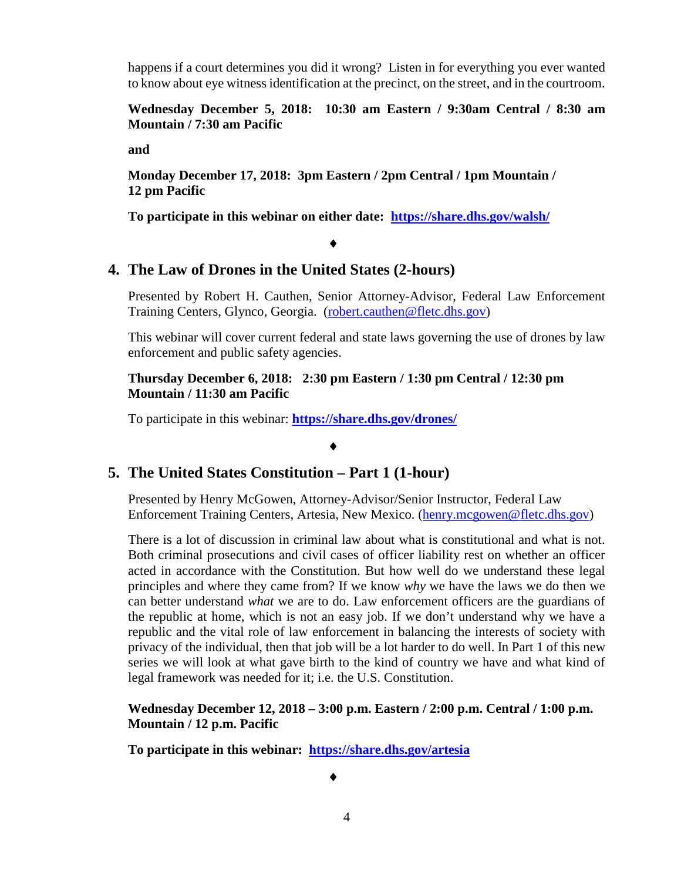happens if a court determines you did it wrong? Listen in for everything you ever wanted to know about eye witness identification at the precinct, on the street, and in the courtroom.

**Wednesday December 5, 2018: 10:30 am Eastern / 9:30am Central / 8:30 am Mountain / 7:30 am Pacific** 

**and**

**Monday December 17, 2018: 3pm Eastern / 2pm Central / 1pm Mountain / 12 pm Pacific**

**To participate in this webinar on either date: https://share.dhs.gov/walsh/**

#### ♦

#### **4. The Law of Drones in the United States (2-hours)**

Presented by Robert H. Cauthen, Senior Attorney-Advisor, Federal Law Enforcement Training Centers, Glynco, Georgia. [\(robert.cauthen@fletc.dhs.gov\)](mailto:robert.cauthen@fletc.dhs.gov)

This webinar will cover current federal and state laws governing the use of drones by law enforcement and public safety agencies.

#### **Thursday December 6, 2018: 2:30 pm Eastern / 1:30 pm Central / 12:30 pm Mountain / 11:30 am Pacific**

To participate in this webinar: **<https://share.dhs.gov/drones/>**

#### ♦

#### **5. The United States Constitution – Part 1 (1-hour)**

Presented by Henry McGowen, Attorney-Advisor/Senior Instructor, Federal Law Enforcement Training Centers, Artesia, New Mexico. [\(henry.mcgowen@fletc.dhs.gov\)](mailto:henry.mcgowen@fletc.dhs.gov)

There is a lot of discussion in criminal law about what is constitutional and what is not. Both criminal prosecutions and civil cases of officer liability rest on whether an officer acted in accordance with the Constitution. But how well do we understand these legal principles and where they came from? If we know *why* we have the laws we do then we can better understand *what* we are to do. Law enforcement officers are the guardians of the republic at home, which is not an easy job. If we don't understand why we have a republic and the vital role of law enforcement in balancing the interests of society with privacy of the individual, then that job will be a lot harder to do well. In Part 1 of this new series we will look at what gave birth to the kind of country we have and what kind of legal framework was needed for it; i.e. the U.S. Constitution.

#### **Wednesday December 12, 2018 – 3:00 p.m. Eastern / 2:00 p.m. Central / 1:00 p.m. Mountain / 12 p.m. Pacific**

**To participate in this webinar: <https://share.dhs.gov/artesia>**

♦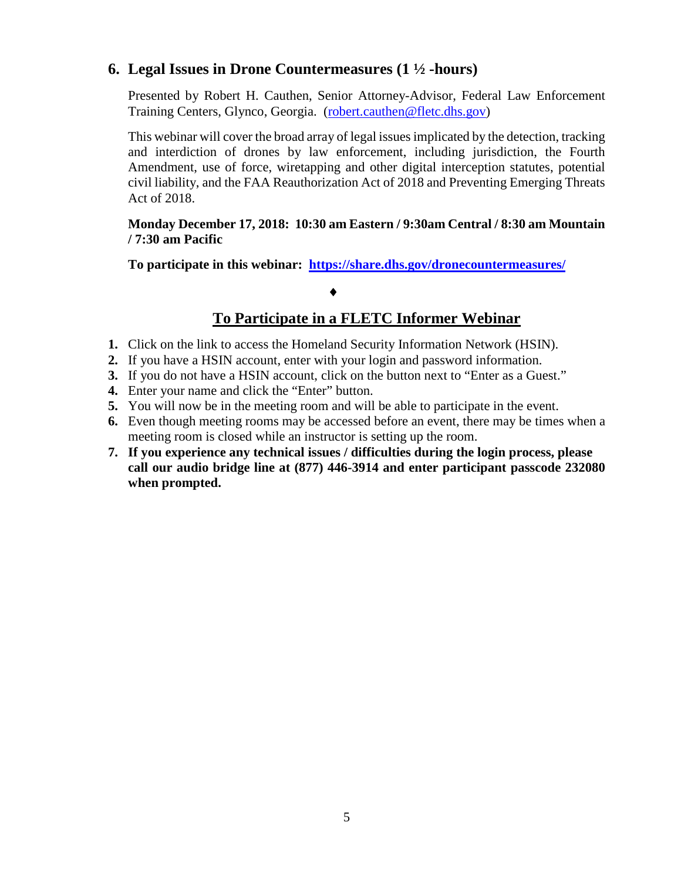#### **6. Legal Issues in Drone Countermeasures (1 ½ -hours)**

Presented by Robert H. Cauthen, Senior Attorney-Advisor, Federal Law Enforcement Training Centers, Glynco, Georgia. [\(robert.cauthen@fletc.dhs.gov\)](mailto:robert.cauthen@fletc.dhs.gov)

This webinar will cover the broad array of legal issuesimplicated by the detection, tracking and interdiction of drones by law enforcement, including jurisdiction, the Fourth Amendment, use of force, wiretapping and other digital interception statutes, potential civil liability, and the FAA Reauthorization Act of 2018 and Preventing Emerging Threats Act of 2018.

#### **Monday December 17, 2018: 10:30 am Eastern / 9:30am Central / 8:30 am Mountain / 7:30 am Pacific**

**To participate in this webinar: <https://share.dhs.gov/dronecountermeasures/>**

#### ♦

#### **To Participate in a FLETC Informer Webinar**

- **1.** Click on the link to access the Homeland Security Information Network (HSIN).
- **2.** If you have a HSIN account, enter with your login and password information.
- **3.** If you do not have a HSIN account, click on the button next to "Enter as a Guest."
- **4.** Enter your name and click the "Enter" button.
- **5.** You will now be in the meeting room and will be able to participate in the event.
- **6.** Even though meeting rooms may be accessed before an event, there may be times when a meeting room is closed while an instructor is setting up the room.
- **7. If you experience any technical issues / difficulties during the login process, please call our audio bridge line at (877) 446-3914 and enter participant passcode 232080 when prompted.**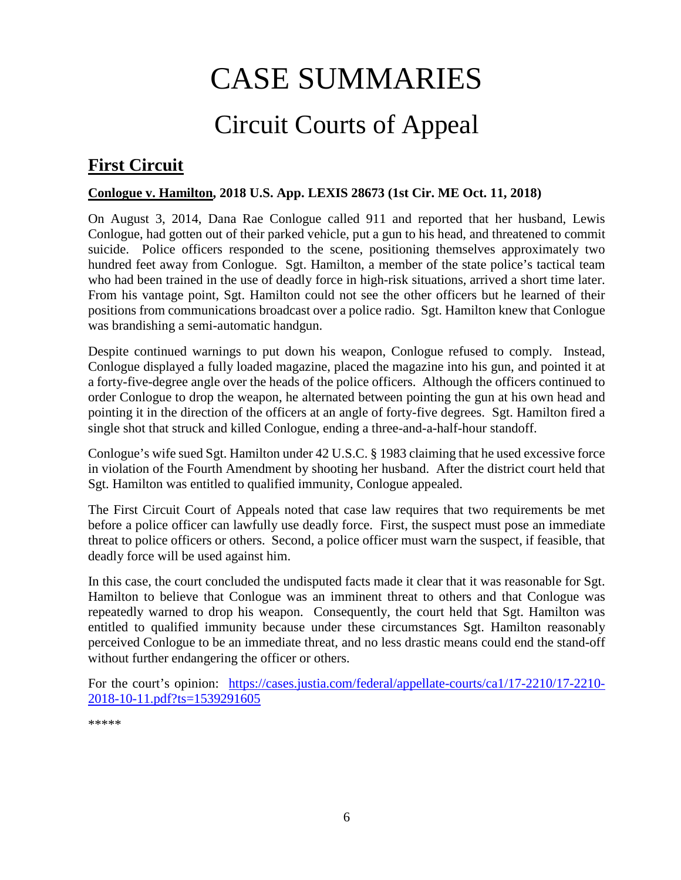# CASE SUMMARIES

# Circuit Courts of Appeal

# <span id="page-5-1"></span><span id="page-5-0"></span>**First Circuit**

#### <span id="page-5-2"></span>**Conlogue v. Hamilton, 2018 U.S. App. LEXIS 28673 (1st Cir. ME Oct. 11, 2018)**

On August 3, 2014, Dana Rae Conlogue called 911 and reported that her husband, Lewis Conlogue, had gotten out of their parked vehicle, put a gun to his head, and threatened to commit suicide. Police officers responded to the scene, positioning themselves approximately two hundred feet away from Conlogue. Sgt. Hamilton, a member of the state police's tactical team who had been trained in the use of deadly force in high-risk situations, arrived a short time later. From his vantage point, Sgt. Hamilton could not see the other officers but he learned of their positions from communications broadcast over a police radio. Sgt. Hamilton knew that Conlogue was brandishing a semi-automatic handgun.

Despite continued warnings to put down his weapon, Conlogue refused to comply. Instead, Conlogue displayed a fully loaded magazine, placed the magazine into his gun, and pointed it at a forty-five-degree angle over the heads of the police officers. Although the officers continued to order Conlogue to drop the weapon, he alternated between pointing the gun at his own head and pointing it in the direction of the officers at an angle of forty-five degrees. Sgt. Hamilton fired a single shot that struck and killed Conlogue, ending a three-and-a-half-hour standoff.

Conlogue's wife sued Sgt. Hamilton under 42 U.S.C. § 1983 claiming that he used excessive force in violation of the Fourth Amendment by shooting her husband. After the district court held that Sgt. Hamilton was entitled to qualified immunity, Conlogue appealed.

The First Circuit Court of Appeals noted that case law requires that two requirements be met before a police officer can lawfully use deadly force. First, the suspect must pose an immediate threat to police officers or others. Second, a police officer must warn the suspect, if feasible, that deadly force will be used against him.

In this case, the court concluded the undisputed facts made it clear that it was reasonable for Sgt. Hamilton to believe that Conlogue was an imminent threat to others and that Conlogue was repeatedly warned to drop his weapon. Consequently, the court held that Sgt. Hamilton was entitled to qualified immunity because under these circumstances Sgt. Hamilton reasonably perceived Conlogue to be an immediate threat, and no less drastic means could end the stand-off without further endangering the officer or others.

For the court's opinion: [https://cases.justia.com/federal/appellate-courts/ca1/17-2210/17-2210-](https://cases.justia.com/federal/appellate-courts/ca1/17-2210/17-2210-2018-10-11.pdf?ts=1539291605) [2018-10-11.pdf?ts=1539291605](https://cases.justia.com/federal/appellate-courts/ca1/17-2210/17-2210-2018-10-11.pdf?ts=1539291605)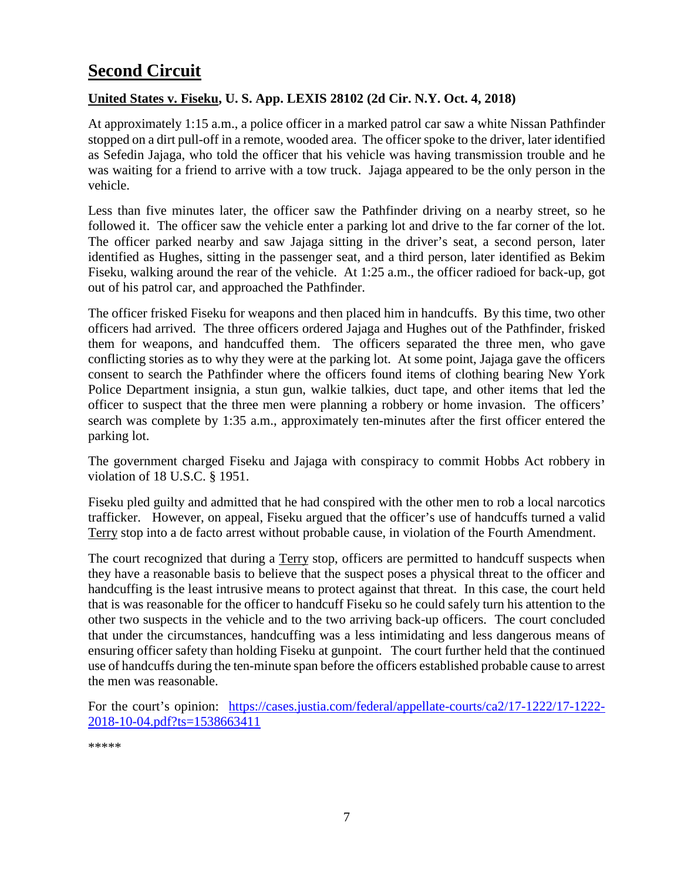# <span id="page-6-0"></span>**Second Circuit**

#### <span id="page-6-1"></span>**United States v. Fiseku, U. S. App. LEXIS 28102 (2d Cir. N.Y. Oct. 4, 2018)**

At approximately 1:15 a.m., a police officer in a marked patrol car saw a white Nissan Pathfinder stopped on a dirt pull-off in a remote, wooded area. The officer spoke to the driver, later identified as Sefedin Jajaga, who told the officer that his vehicle was having transmission trouble and he was waiting for a friend to arrive with a tow truck. Jajaga appeared to be the only person in the vehicle.

Less than five minutes later, the officer saw the Pathfinder driving on a nearby street, so he followed it. The officer saw the vehicle enter a parking lot and drive to the far corner of the lot. The officer parked nearby and saw Jajaga sitting in the driver's seat, a second person, later identified as Hughes, sitting in the passenger seat, and a third person, later identified as Bekim Fiseku, walking around the rear of the vehicle. At 1:25 a.m., the officer radioed for back-up, got out of his patrol car, and approached the Pathfinder.

The officer frisked Fiseku for weapons and then placed him in handcuffs. By this time, two other officers had arrived. The three officers ordered Jajaga and Hughes out of the Pathfinder, frisked them for weapons, and handcuffed them. The officers separated the three men, who gave conflicting stories as to why they were at the parking lot. At some point, Jajaga gave the officers consent to search the Pathfinder where the officers found items of clothing bearing New York Police Department insignia, a stun gun, walkie talkies, duct tape, and other items that led the officer to suspect that the three men were planning a robbery or home invasion. The officers' search was complete by 1:35 a.m., approximately ten-minutes after the first officer entered the parking lot.

The government charged Fiseku and Jajaga with conspiracy to commit Hobbs Act robbery in violation of 18 U.S.C. § 1951.

Fiseku pled guilty and admitted that he had conspired with the other men to rob a local narcotics trafficker. However, on appeal, Fiseku argued that the officer's use of handcuffs turned a valid Terry stop into a de facto arrest without probable cause, in violation of the Fourth Amendment.

The court recognized that during a Terry stop, officers are permitted to handcuff suspects when they have a reasonable basis to believe that the suspect poses a physical threat to the officer and handcuffing is the least intrusive means to protect against that threat. In this case, the court held that is was reasonable for the officer to handcuff Fiseku so he could safely turn his attention to the other two suspects in the vehicle and to the two arriving back-up officers. The court concluded that under the circumstances, handcuffing was a less intimidating and less dangerous means of ensuring officer safety than holding Fiseku at gunpoint. The court further held that the continued use of handcuffs during the ten-minute span before the officers established probable cause to arrest the men was reasonable.

For the court's opinion: [https://cases.justia.com/federal/appellate-courts/ca2/17-1222/17-1222-](https://cases.justia.com/federal/appellate-courts/ca2/17-1222/17-1222-2018-10-04.pdf?ts=1538663411) [2018-10-04.pdf?ts=1538663411](https://cases.justia.com/federal/appellate-courts/ca2/17-1222/17-1222-2018-10-04.pdf?ts=1538663411)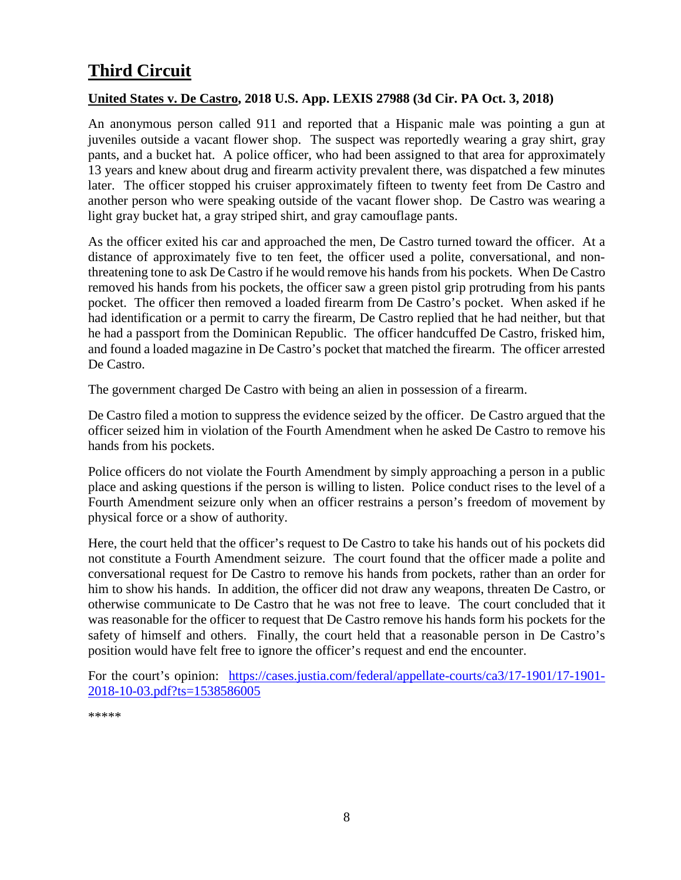# <span id="page-7-0"></span>**Third Circuit**

#### <span id="page-7-1"></span>**United States v. De Castro, 2018 U.S. App. LEXIS 27988 (3d Cir. PA Oct. 3, 2018)**

An anonymous person called 911 and reported that a Hispanic male was pointing a gun at juveniles outside a vacant flower shop. The suspect was reportedly wearing a gray shirt, gray pants, and a bucket hat. A police officer, who had been assigned to that area for approximately 13 years and knew about drug and firearm activity prevalent there, was dispatched a few minutes later. The officer stopped his cruiser approximately fifteen to twenty feet from De Castro and another person who were speaking outside of the vacant flower shop. De Castro was wearing a light gray bucket hat, a gray striped shirt, and gray camouflage pants.

As the officer exited his car and approached the men, De Castro turned toward the officer. At a distance of approximately five to ten feet, the officer used a polite, conversational, and nonthreatening tone to ask De Castro if he would remove his hands from his pockets. When De Castro removed his hands from his pockets, the officer saw a green pistol grip protruding from his pants pocket. The officer then removed a loaded firearm from De Castro's pocket. When asked if he had identification or a permit to carry the firearm, De Castro replied that he had neither, but that he had a passport from the Dominican Republic. The officer handcuffed De Castro, frisked him, and found a loaded magazine in De Castro's pocket that matched the firearm. The officer arrested De Castro.

The government charged De Castro with being an alien in possession of a firearm.

De Castro filed a motion to suppress the evidence seized by the officer. De Castro argued that the officer seized him in violation of the Fourth Amendment when he asked De Castro to remove his hands from his pockets.

Police officers do not violate the Fourth Amendment by simply approaching a person in a public place and asking questions if the person is willing to listen. Police conduct rises to the level of a Fourth Amendment seizure only when an officer restrains a person's freedom of movement by physical force or a show of authority.

Here, the court held that the officer's request to De Castro to take his hands out of his pockets did not constitute a Fourth Amendment seizure. The court found that the officer made a polite and conversational request for De Castro to remove his hands from pockets, rather than an order for him to show his hands. In addition, the officer did not draw any weapons, threaten De Castro, or otherwise communicate to De Castro that he was not free to leave. The court concluded that it was reasonable for the officer to request that De Castro remove his hands form his pockets for the safety of himself and others. Finally, the court held that a reasonable person in De Castro's position would have felt free to ignore the officer's request and end the encounter.

For the court's opinion: [https://cases.justia.com/federal/appellate-courts/ca3/17-1901/17-1901-](https://cases.justia.com/federal/appellate-courts/ca3/17-1901/17-1901-2018-10-03.pdf?ts=1538586005) [2018-10-03.pdf?ts=1538586005](https://cases.justia.com/federal/appellate-courts/ca3/17-1901/17-1901-2018-10-03.pdf?ts=1538586005)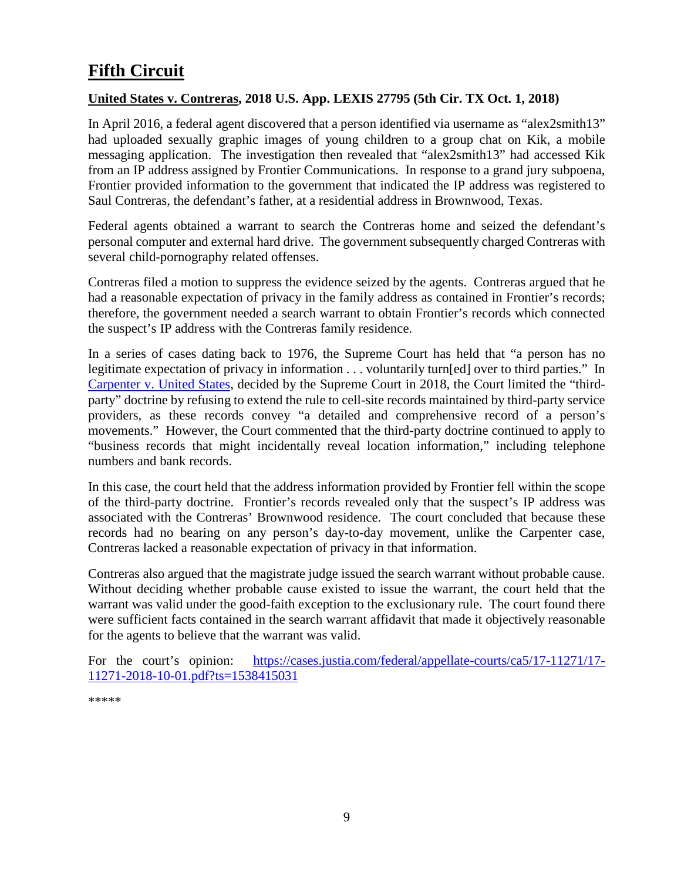# <span id="page-8-0"></span>**Fifth Circuit**

#### <span id="page-8-1"></span>**United States v. Contreras, 2018 U.S. App. LEXIS 27795 (5th Cir. TX Oct. 1, 2018)**

In April 2016, a federal agent discovered that a person identified via username as "alex2smith13" had uploaded sexually graphic images of young children to a group chat on Kik, a mobile messaging application. The investigation then revealed that "alex2smith13" had accessed Kik from an IP address assigned by Frontier Communications. In response to a grand jury subpoena, Frontier provided information to the government that indicated the IP address was registered to Saul Contreras, the defendant's father, at a residential address in Brownwood, Texas.

Federal agents obtained a warrant to search the Contreras home and seized the defendant's personal computer and external hard drive. The government subsequently charged Contreras with several child-pornography related offenses.

Contreras filed a motion to suppress the evidence seized by the agents. Contreras argued that he had a reasonable expectation of privacy in the family address as contained in Frontier's records; therefore, the government needed a search warrant to obtain Frontier's records which connected the suspect's IP address with the Contreras family residence.

In a series of cases dating back to 1976, the Supreme Court has held that "a person has no legitimate expectation of privacy in information . . . voluntarily turn[ed] over to third parties." In [Carpenter v. United States,](https://www.supremecourt.gov/opinions/17pdf/16-402_new_o75q.pdf) decided by the Supreme Court in 2018, the Court limited the "thirdparty" doctrine by refusing to extend the rule to cell-site records maintained by third-party service providers, as these records convey "a detailed and comprehensive record of a person's movements." However, the Court commented that the third-party doctrine continued to apply to "business records that might incidentally reveal location information," including telephone numbers and bank records.

In this case, the court held that the address information provided by Frontier fell within the scope of the third-party doctrine. Frontier's records revealed only that the suspect's IP address was associated with the Contreras' Brownwood residence. The court concluded that because these records had no bearing on any person's day-to-day movement, unlike the Carpenter case, Contreras lacked a reasonable expectation of privacy in that information.

Contreras also argued that the magistrate judge issued the search warrant without probable cause. Without deciding whether probable cause existed to issue the warrant, the court held that the warrant was valid under the good-faith exception to the exclusionary rule. The court found there were sufficient facts contained in the search warrant affidavit that made it objectively reasonable for the agents to believe that the warrant was valid.

For the court's opinion: [https://cases.justia.com/federal/appellate-courts/ca5/17-11271/17-](https://cases.justia.com/federal/appellate-courts/ca5/17-11271/17-11271-2018-10-01.pdf?ts=1538415031) [11271-2018-10-01.pdf?ts=1538415031](https://cases.justia.com/federal/appellate-courts/ca5/17-11271/17-11271-2018-10-01.pdf?ts=1538415031)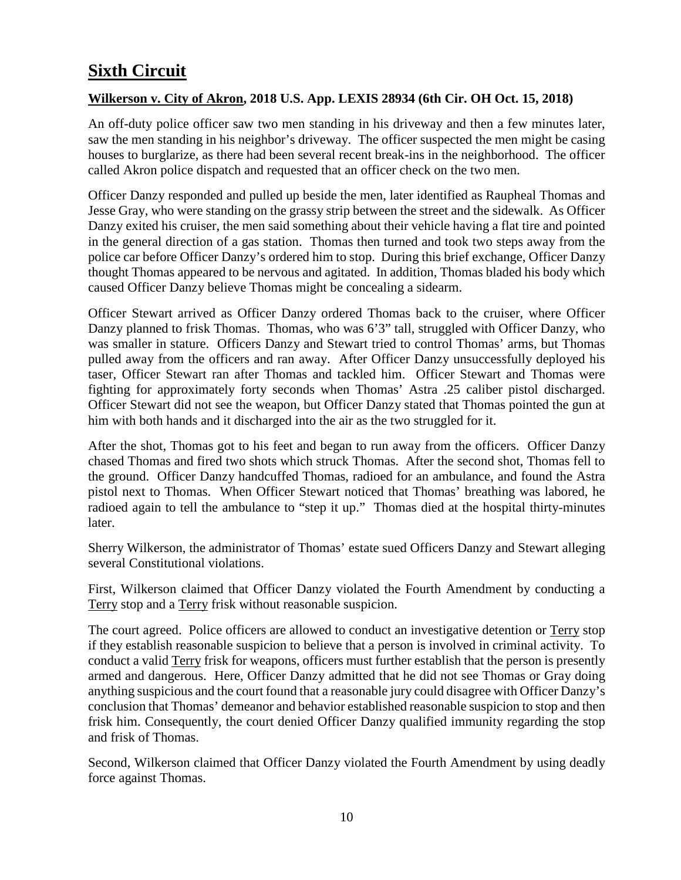# <span id="page-9-0"></span>**Sixth Circuit**

#### <span id="page-9-1"></span>**Wilkerson v. City of Akron, 2018 U.S. App. LEXIS 28934 (6th Cir. OH Oct. 15, 2018)**

An off-duty police officer saw two men standing in his driveway and then a few minutes later, saw the men standing in his neighbor's driveway. The officer suspected the men might be casing houses to burglarize, as there had been several recent break-ins in the neighborhood. The officer called Akron police dispatch and requested that an officer check on the two men.

Officer Danzy responded and pulled up beside the men, later identified as Raupheal Thomas and Jesse Gray, who were standing on the grassy strip between the street and the sidewalk. As Officer Danzy exited his cruiser, the men said something about their vehicle having a flat tire and pointed in the general direction of a gas station. Thomas then turned and took two steps away from the police car before Officer Danzy's ordered him to stop. During this brief exchange, Officer Danzy thought Thomas appeared to be nervous and agitated. In addition, Thomas bladed his body which caused Officer Danzy believe Thomas might be concealing a sidearm.

Officer Stewart arrived as Officer Danzy ordered Thomas back to the cruiser, where Officer Danzy planned to frisk Thomas. Thomas, who was 6'3" tall, struggled with Officer Danzy, who was smaller in stature. Officers Danzy and Stewart tried to control Thomas' arms, but Thomas pulled away from the officers and ran away. After Officer Danzy unsuccessfully deployed his taser, Officer Stewart ran after Thomas and tackled him. Officer Stewart and Thomas were fighting for approximately forty seconds when Thomas' Astra .25 caliber pistol discharged. Officer Stewart did not see the weapon, but Officer Danzy stated that Thomas pointed the gun at him with both hands and it discharged into the air as the two struggled for it.

After the shot, Thomas got to his feet and began to run away from the officers. Officer Danzy chased Thomas and fired two shots which struck Thomas. After the second shot, Thomas fell to the ground. Officer Danzy handcuffed Thomas, radioed for an ambulance, and found the Astra pistol next to Thomas. When Officer Stewart noticed that Thomas' breathing was labored, he radioed again to tell the ambulance to "step it up." Thomas died at the hospital thirty-minutes later.

Sherry Wilkerson, the administrator of Thomas' estate sued Officers Danzy and Stewart alleging several Constitutional violations.

First, Wilkerson claimed that Officer Danzy violated the Fourth Amendment by conducting a Terry stop and a Terry frisk without reasonable suspicion.

The court agreed. Police officers are allowed to conduct an investigative detention or Terry stop if they establish reasonable suspicion to believe that a person is involved in criminal activity. To conduct a valid Terry frisk for weapons, officers must further establish that the person is presently armed and dangerous. Here, Officer Danzy admitted that he did not see Thomas or Gray doing anything suspicious and the court found that a reasonable jury could disagree with Officer Danzy's conclusion that Thomas' demeanor and behavior established reasonable suspicion to stop and then frisk him. Consequently, the court denied Officer Danzy qualified immunity regarding the stop and frisk of Thomas.

Second, Wilkerson claimed that Officer Danzy violated the Fourth Amendment by using deadly force against Thomas.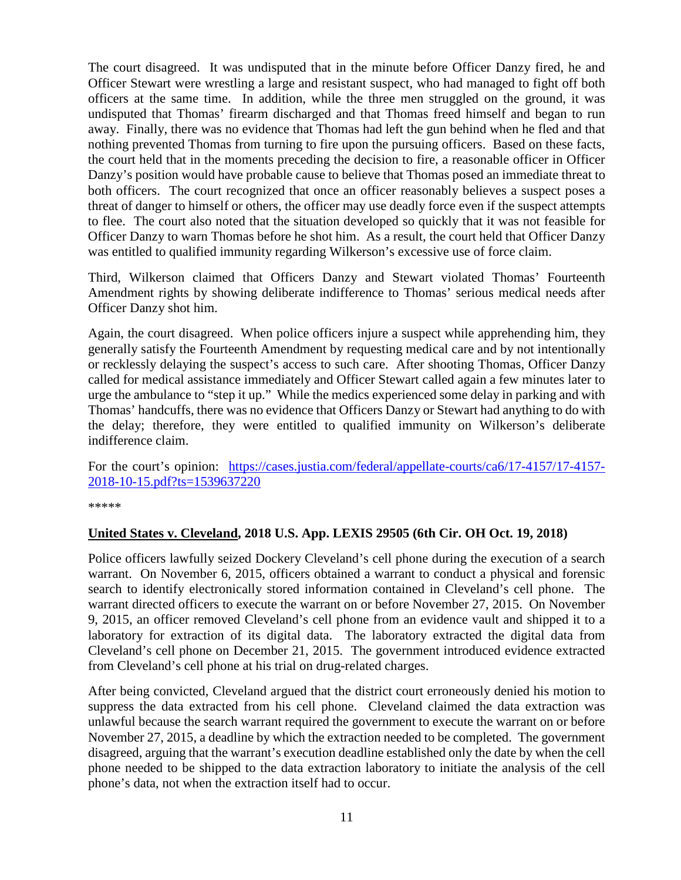The court disagreed. It was undisputed that in the minute before Officer Danzy fired, he and Officer Stewart were wrestling a large and resistant suspect, who had managed to fight off both officers at the same time. In addition, while the three men struggled on the ground, it was undisputed that Thomas' firearm discharged and that Thomas freed himself and began to run away. Finally, there was no evidence that Thomas had left the gun behind when he fled and that nothing prevented Thomas from turning to fire upon the pursuing officers. Based on these facts, the court held that in the moments preceding the decision to fire, a reasonable officer in Officer Danzy's position would have probable cause to believe that Thomas posed an immediate threat to both officers. The court recognized that once an officer reasonably believes a suspect poses a threat of danger to himself or others, the officer may use deadly force even if the suspect attempts to flee. The court also noted that the situation developed so quickly that it was not feasible for Officer Danzy to warn Thomas before he shot him. As a result, the court held that Officer Danzy was entitled to qualified immunity regarding Wilkerson's excessive use of force claim.

Third, Wilkerson claimed that Officers Danzy and Stewart violated Thomas' Fourteenth Amendment rights by showing deliberate indifference to Thomas' serious medical needs after Officer Danzy shot him.

Again, the court disagreed. When police officers injure a suspect while apprehending him, they generally satisfy the Fourteenth Amendment by requesting medical care and by not intentionally or recklessly delaying the suspect's access to such care. After shooting Thomas, Officer Danzy called for medical assistance immediately and Officer Stewart called again a few minutes later to urge the ambulance to "step it up." While the medics experienced some delay in parking and with Thomas' handcuffs, there was no evidence that Officers Danzy or Stewart had anything to do with the delay; therefore, they were entitled to qualified immunity on Wilkerson's deliberate indifference claim.

For the court's opinion: [https://cases.justia.com/federal/appellate-courts/ca6/17-4157/17-4157-](https://cases.justia.com/federal/appellate-courts/ca6/17-4157/17-4157-2018-10-15.pdf?ts=1539637220) [2018-10-15.pdf?ts=1539637220](https://cases.justia.com/federal/appellate-courts/ca6/17-4157/17-4157-2018-10-15.pdf?ts=1539637220)

\*\*\*\*\*

#### <span id="page-10-0"></span>**United States v. Cleveland, 2018 U.S. App. LEXIS 29505 (6th Cir. OH Oct. 19, 2018)**

Police officers lawfully seized Dockery Cleveland's cell phone during the execution of a search warrant. On November 6, 2015, officers obtained a warrant to conduct a physical and forensic search to identify electronically stored information contained in Cleveland's cell phone. The warrant directed officers to execute the warrant on or before November 27, 2015. On November 9, 2015, an officer removed Cleveland's cell phone from an evidence vault and shipped it to a laboratory for extraction of its digital data. The laboratory extracted the digital data from Cleveland's cell phone on December 21, 2015. The government introduced evidence extracted from Cleveland's cell phone at his trial on drug-related charges.

After being convicted, Cleveland argued that the district court erroneously denied his motion to suppress the data extracted from his cell phone. Cleveland claimed the data extraction was unlawful because the search warrant required the government to execute the warrant on or before November 27, 2015, a deadline by which the extraction needed to be completed. The government disagreed, arguing that the warrant's execution deadline established only the date by when the cell phone needed to be shipped to the data extraction laboratory to initiate the analysis of the cell phone's data, not when the extraction itself had to occur.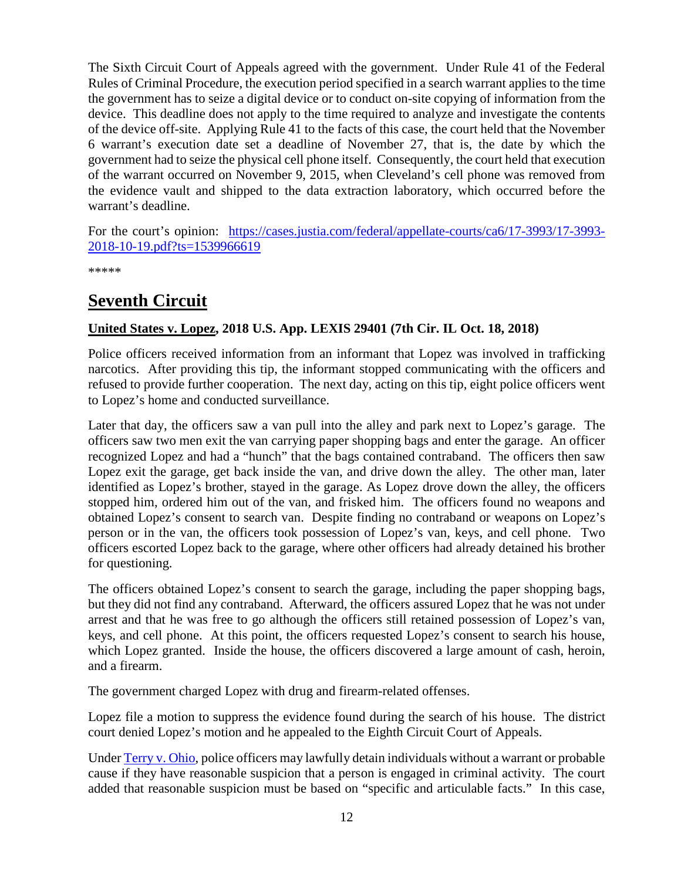The Sixth Circuit Court of Appeals agreed with the government. Under Rule 41 of the Federal Rules of Criminal Procedure, the execution period specified in a search warrant applies to the time the government has to seize a digital device or to conduct on-site copying of information from the device. This deadline does not apply to the time required to analyze and investigate the contents of the device off-site. Applying Rule 41 to the facts of this case, the court held that the November 6 warrant's execution date set a deadline of November 27, that is, the date by which the government had to seize the physical cell phone itself. Consequently, the court held that execution of the warrant occurred on November 9, 2015, when Cleveland's cell phone was removed from the evidence vault and shipped to the data extraction laboratory, which occurred before the warrant's deadline.

For the court's opinion: [https://cases.justia.com/federal/appellate-courts/ca6/17-3993/17-3993-](https://cases.justia.com/federal/appellate-courts/ca6/17-3993/17-3993-2018-10-19.pdf?ts=1539966619) [2018-10-19.pdf?ts=1539966619](https://cases.justia.com/federal/appellate-courts/ca6/17-3993/17-3993-2018-10-19.pdf?ts=1539966619)

\*\*\*\*\*

# <span id="page-11-0"></span>**Seventh Circuit**

#### <span id="page-11-1"></span>**United States v. Lopez, 2018 U.S. App. LEXIS 29401 (7th Cir. IL Oct. 18, 2018)**

Police officers received information from an informant that Lopez was involved in trafficking narcotics. After providing this tip, the informant stopped communicating with the officers and refused to provide further cooperation. The next day, acting on this tip, eight police officers went to Lopez's home and conducted surveillance.

Later that day, the officers saw a van pull into the alley and park next to Lopez's garage. The officers saw two men exit the van carrying paper shopping bags and enter the garage. An officer recognized Lopez and had a "hunch" that the bags contained contraband. The officers then saw Lopez exit the garage, get back inside the van, and drive down the alley. The other man, later identified as Lopez's brother, stayed in the garage. As Lopez drove down the alley, the officers stopped him, ordered him out of the van, and frisked him. The officers found no weapons and obtained Lopez's consent to search van. Despite finding no contraband or weapons on Lopez's person or in the van, the officers took possession of Lopez's van, keys, and cell phone. Two officers escorted Lopez back to the garage, where other officers had already detained his brother for questioning.

The officers obtained Lopez's consent to search the garage, including the paper shopping bags, but they did not find any contraband. Afterward, the officers assured Lopez that he was not under arrest and that he was free to go although the officers still retained possession of Lopez's van, keys, and cell phone. At this point, the officers requested Lopez's consent to search his house, which Lopez granted. Inside the house, the officers discovered a large amount of cash, heroin, and a firearm.

The government charged Lopez with drug and firearm-related offenses.

Lopez file a motion to suppress the evidence found during the search of his house. The district court denied Lopez's motion and he appealed to the Eighth Circuit Court of Appeals.

Unde[r Terry v. Ohio,](https://supreme.justia.com/cases/federal/us/392/1/) police officers may lawfully detain individuals without a warrant or probable cause if they have reasonable suspicion that a person is engaged in criminal activity. The court added that reasonable suspicion must be based on "specific and articulable facts." In this case,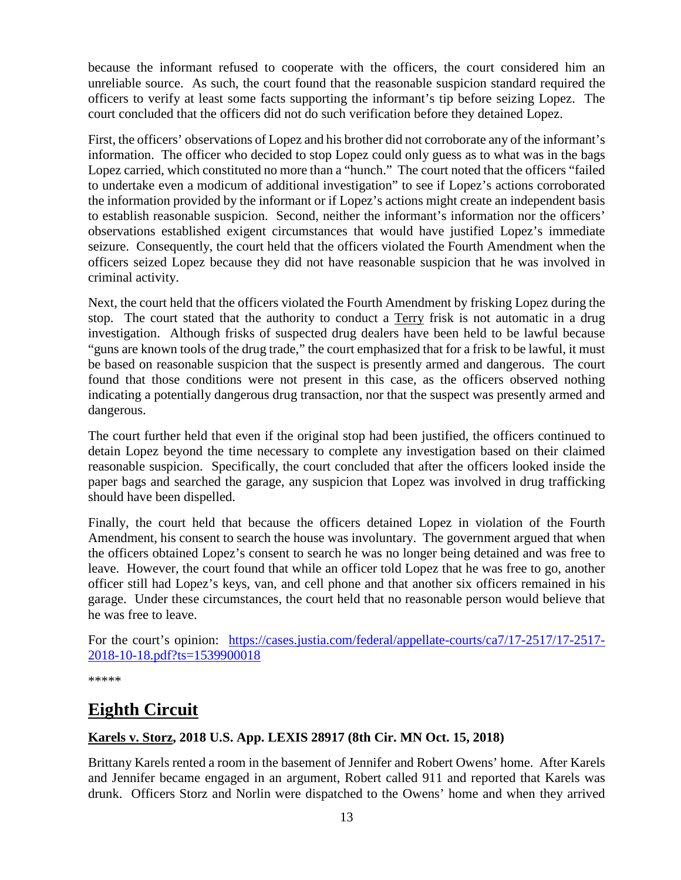because the informant refused to cooperate with the officers, the court considered him an unreliable source. As such, the court found that the reasonable suspicion standard required the officers to verify at least some facts supporting the informant's tip before seizing Lopez. The court concluded that the officers did not do such verification before they detained Lopez.

First, the officers' observations of Lopez and his brother did not corroborate any of the informant's information. The officer who decided to stop Lopez could only guess as to what was in the bags Lopez carried, which constituted no more than a "hunch." The court noted that the officers "failed to undertake even a modicum of additional investigation" to see if Lopez's actions corroborated the information provided by the informant or if Lopez's actions might create an independent basis to establish reasonable suspicion. Second, neither the informant's information nor the officers' observations established exigent circumstances that would have justified Lopez's immediate seizure. Consequently, the court held that the officers violated the Fourth Amendment when the officers seized Lopez because they did not have reasonable suspicion that he was involved in criminal activity.

Next, the court held that the officers violated the Fourth Amendment by frisking Lopez during the stop. The court stated that the authority to conduct a Terry frisk is not automatic in a drug investigation. Although frisks of suspected drug dealers have been held to be lawful because "guns are known tools of the drug trade," the court emphasized that for a frisk to be lawful, it must be based on reasonable suspicion that the suspect is presently armed and dangerous. The court found that those conditions were not present in this case, as the officers observed nothing indicating a potentially dangerous drug transaction, nor that the suspect was presently armed and dangerous.

The court further held that even if the original stop had been justified, the officers continued to detain Lopez beyond the time necessary to complete any investigation based on their claimed reasonable suspicion. Specifically, the court concluded that after the officers looked inside the paper bags and searched the garage, any suspicion that Lopez was involved in drug trafficking should have been dispelled.

Finally, the court held that because the officers detained Lopez in violation of the Fourth Amendment, his consent to search the house was involuntary. The government argued that when the officers obtained Lopez's consent to search he was no longer being detained and was free to leave. However, the court found that while an officer told Lopez that he was free to go, another officer still had Lopez's keys, van, and cell phone and that another six officers remained in his garage. Under these circumstances, the court held that no reasonable person would believe that he was free to leave.

For the court's opinion: [https://cases.justia.com/federal/appellate-courts/ca7/17-2517/17-2517-](https://cases.justia.com/federal/appellate-courts/ca7/17-2517/17-2517-2018-10-18.pdf?ts=1539900018) [2018-10-18.pdf?ts=1539900018](https://cases.justia.com/federal/appellate-courts/ca7/17-2517/17-2517-2018-10-18.pdf?ts=1539900018)

\*\*\*\*\*

# <span id="page-12-0"></span>**Eighth Circuit**

#### <span id="page-12-1"></span>**Karels v. Storz, 2018 U.S. App. LEXIS 28917 (8th Cir. MN Oct. 15, 2018)**

Brittany Karels rented a room in the basement of Jennifer and Robert Owens' home. After Karels and Jennifer became engaged in an argument, Robert called 911 and reported that Karels was drunk. Officers Storz and Norlin were dispatched to the Owens' home and when they arrived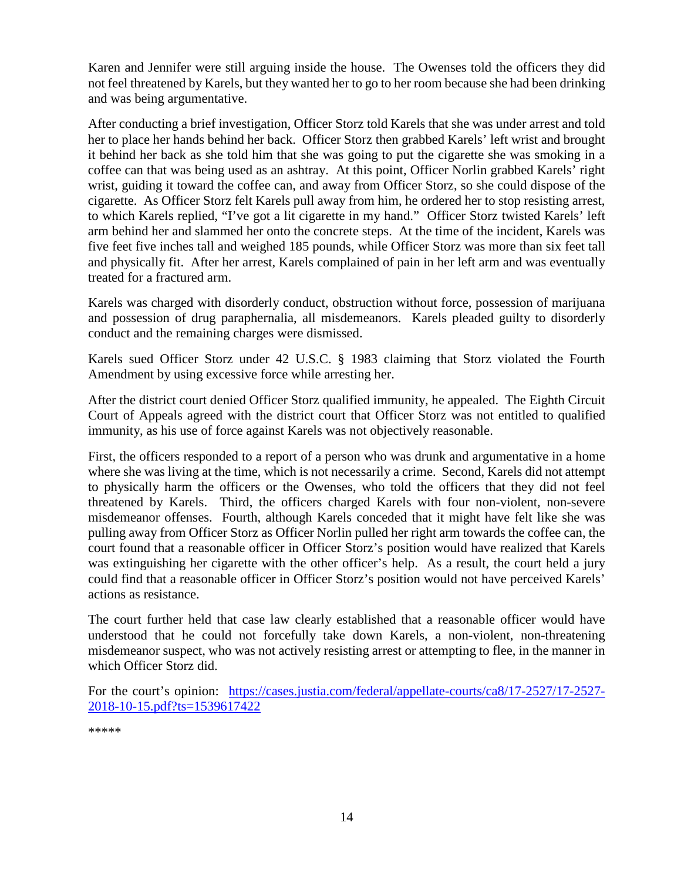Karen and Jennifer were still arguing inside the house. The Owenses told the officers they did not feel threatened by Karels, but they wanted her to go to her room because she had been drinking and was being argumentative.

After conducting a brief investigation, Officer Storz told Karels that she was under arrest and told her to place her hands behind her back. Officer Storz then grabbed Karels' left wrist and brought it behind her back as she told him that she was going to put the cigarette she was smoking in a coffee can that was being used as an ashtray. At this point, Officer Norlin grabbed Karels' right wrist, guiding it toward the coffee can, and away from Officer Storz, so she could dispose of the cigarette. As Officer Storz felt Karels pull away from him, he ordered her to stop resisting arrest, to which Karels replied, "I've got a lit cigarette in my hand." Officer Storz twisted Karels' left arm behind her and slammed her onto the concrete steps. At the time of the incident, Karels was five feet five inches tall and weighed 185 pounds, while Officer Storz was more than six feet tall and physically fit. After her arrest, Karels complained of pain in her left arm and was eventually treated for a fractured arm.

Karels was charged with disorderly conduct, obstruction without force, possession of marijuana and possession of drug paraphernalia, all misdemeanors. Karels pleaded guilty to disorderly conduct and the remaining charges were dismissed.

Karels sued Officer Storz under 42 U.S.C. § 1983 claiming that Storz violated the Fourth Amendment by using excessive force while arresting her.

After the district court denied Officer Storz qualified immunity, he appealed. The Eighth Circuit Court of Appeals agreed with the district court that Officer Storz was not entitled to qualified immunity, as his use of force against Karels was not objectively reasonable.

First, the officers responded to a report of a person who was drunk and argumentative in a home where she was living at the time, which is not necessarily a crime. Second, Karels did not attempt to physically harm the officers or the Owenses, who told the officers that they did not feel threatened by Karels. Third, the officers charged Karels with four non-violent, non-severe misdemeanor offenses. Fourth, although Karels conceded that it might have felt like she was pulling away from Officer Storz as Officer Norlin pulled her right arm towards the coffee can, the court found that a reasonable officer in Officer Storz's position would have realized that Karels was extinguishing her cigarette with the other officer's help. As a result, the court held a jury could find that a reasonable officer in Officer Storz's position would not have perceived Karels' actions as resistance.

The court further held that case law clearly established that a reasonable officer would have understood that he could not forcefully take down Karels, a non-violent, non-threatening misdemeanor suspect, who was not actively resisting arrest or attempting to flee, in the manner in which Officer Storz did.

For the court's opinion: [https://cases.justia.com/federal/appellate-courts/ca8/17-2527/17-2527-](https://cases.justia.com/federal/appellate-courts/ca8/17-2527/17-2527-2018-10-15.pdf?ts=1539617422) [2018-10-15.pdf?ts=1539617422](https://cases.justia.com/federal/appellate-courts/ca8/17-2527/17-2527-2018-10-15.pdf?ts=1539617422)